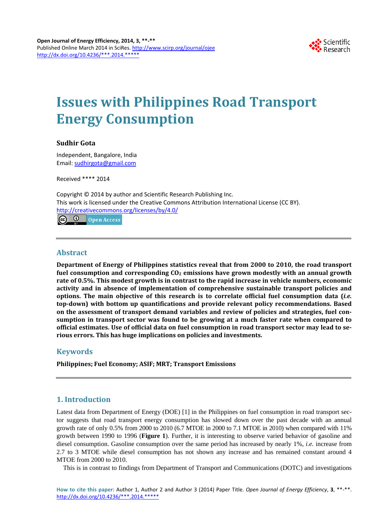

# **Issues with Philippines Road Transport Energy Consumption**

## **Sudhir Gota**

Independent, Bangalore, India Email: [sudhirgota@gmail.com](mailto:sudhirgota@gmail.com)

Received \*\*\*\* 2014

Copyright © 2014 by author and Scientific Research Publishing Inc. This work is licensed under the Creative Commons Attribution International License (CC BY). <http://creativecommons.org/licenses/by/4.0/>  $\odot$   $\odot$ Open Access

## **Abstract**

**Department of Energy of Philippines statistics reveal that from 2000 to 2010, the road transport**  fuel consumption and corresponding CO<sub>2</sub> emissions have grown modestly with an annual growth **rate of 0.5%. This modest growth is in contrast to the rapid increase in vehicle numbers, economic activity and in absence of implementation of comprehensive sustainable transport policies and options. The main objective of this research is to correlate official fuel consumption data (***i.e.* **top-down) with bottom up quantifications and provide relevant policy recommendations. Based on the assessment of transport demand variables and review of policies and strategies, fuel consumption in transport sector was found to be growing at a much faster rate when compared to official estimates. Use of official data on fuel consumption in road transport sector may lead to serious errors. This has huge implications on policies and investments.**

## **Keywords**

**Philippines; Fuel Economy; ASIF; MRT; Transport Emissions**

# **1. Introduction**

Latest data from Department of Energy (DOE) [1] in the Philippines on fuel consumption in road transport sector suggests that road transport energy consumption has slowed down over the past decade with an annual growth rate of only 0.5% from 2000 to 2010 (6.7 MTOE in 2000 to 7.1 MTOE in 2010) when compared with 11% growth between 1990 to 1996 (**Figure 1**). Further, it is interesting to observe varied behavior of gasoline and diesel consumption. Gasoline consumption over the same period has increased by nearly 1%, *i.e.* increase from 2.7 to 3 MTOE while diesel consumption has not shown any increase and has remained constant around 4 MTOE from 2000 to 2010.

This is in contrast to findings from Department of Transport and Communications (DOTC) and investigations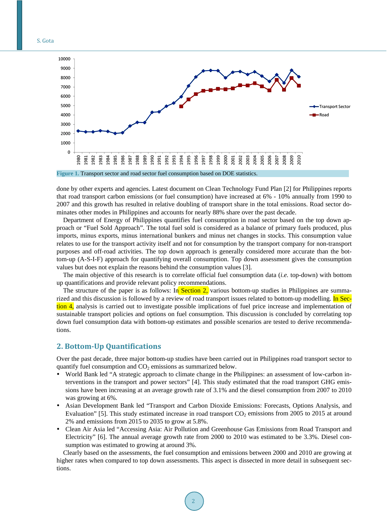S. Gota



done by other experts and agencies. Latest document on Clean Technology Fund Plan [2] for Philippines reports that road transport carbon emissions (or fuel consumption) have increased at 6% - 10% annually from 1990 to 2007 and this growth has resulted in relative doubling of transport share in the total emissions. Road sector dominates other modes in Philippines and accounts for nearly 88% share over the past decade.

Department of Energy of Philippines quantifies fuel consumption in road sector based on the top down approach or "Fuel Sold Approach". The total fuel sold is considered as a balance of primary fuels produced, plus imports, minus exports, minus international bunkers and minus net changes in stocks. This consumption value relates to use for the transport activity itself and not for consumption by the transport company for non-transport purposes and off-road activities. The top down approach is generally considered more accurate than the bottom-up (A-S-I-F) approach for quantifying overall consumption. Top down assessment gives the consumption values but does not explain the reasons behind the consumption values [3].

The main objective of this research is to correlate official fuel consumption data (*i.e.* top-down) with bottom up quantifications and provide relevant policy recommendations.

The structure of the paper is as follows: In Section 2, various bottom-up studies in Philippines are summarized and this discussion is followed by a review of road transport issues related to bottom-up modelling. In Section 4, analysis is carried out to investigate possible implications of fuel price increase and implementation of sustainable transport policies and options on fuel consumption. This discussion is concluded by correlating top down fuel consumption data with bottom-up estimates and possible scenarios are tested to derive recommendations.

## **2. Bottom-Up Quantifications**

Over the past decade, three major bottom-up studies have been carried out in Philippines road transport sector to quantify fuel consumption and  $CO<sub>2</sub>$  emissions as summarized below.

- World Bank led "A strategic approach to climate change in the Philippines: an assessment of low-carbon interventions in the transport and power sectors" [4]. This study estimated that the road transport GHG emissions have been increasing at an average growth rate of 3.1% and the diesel consumption from 2007 to 2010 was growing at 6%.
- Asian Development Bank led "Transport and Carbon Dioxide Emissions: Forecasts, Options Analysis, and Evaluation" [5]. This study estimated increase in road transport  $CO<sub>2</sub>$  emissions from 2005 to 2015 at around 2% and emissions from 2015 to 2035 to grow at 5.8%.
- Clean Air Asia led "Accessing Asia: Air Pollution and Greenhouse Gas Emissions from Road Transport and Electricity" [6]. The annual average growth rate from 2000 to 2010 was estimated to be 3.3%. Diesel consumption was estimated to growing at around 3%.

Clearly based on the assessments, the fuel consumption and emissions between 2000 and 2010 are growing at higher rates when compared to top down assessments. This aspect is dissected in more detail in subsequent sections.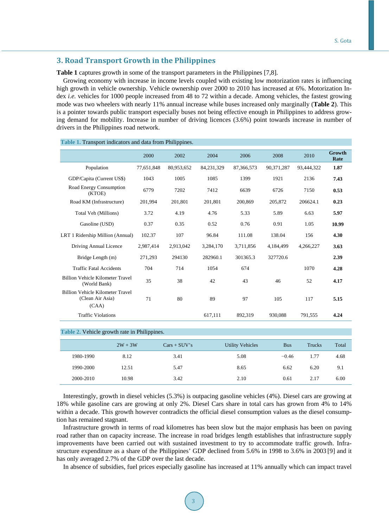## **3. Road Transport Growth in the Philippines**

**Table 1** captures growth in some of the transport parameters in the Philippines [7,8].

Growing economy with increase in income levels coupled with existing low motorization rates is influencing high growth in vehicle ownership. Vehicle ownership over 2000 to 2010 has increased at 6%. Motorization Index *i.e.* vehicles for 1000 people increased from 48 to 72 within a decade. Among vehicles, the fastest growing mode was two wheelers with nearly 11% annual increase while buses increased only marginally (**Table 2**). This is a pointer towards public transport especially buses not being effective enough in Philippines to address growing demand for mobility. Increase in number of driving licences (3.6%) point towards increase in number of drivers in the Philippines road network.

|                                                                      | 2000       | 2002       | 2004       | 2006       | 2008       | 2010       | Growth<br>Rate |
|----------------------------------------------------------------------|------------|------------|------------|------------|------------|------------|----------------|
| Population                                                           | 77,651,848 | 80,953,652 | 84,231,329 | 87,366,573 | 90,371,287 | 93,444,322 | 1.87           |
| GDP/Capita (Current US\$)                                            | 1043       | 1005       | 1085       | 1399       | 1921       | 2136       | 7.43           |
| Road Energy Consumption<br>(KTOE)                                    | 6779       | 7202       | 7412       | 6639       | 6726       | 7150       | 0.53           |
| Road KM (Infrastructure)                                             | 201,994    | 201,801    | 201,801    | 200,869    | 205,872    | 206624.1   | 0.23           |
| Total Veh (Millions)                                                 | 3.72       | 4.19       | 4.76       | 5.33       | 5.89       | 6.63       | 5.97           |
| Gasoline (USD)                                                       | 0.37       | 0.35       | 0.52       | 0.76       | 0.91       | 1.05       | 10.99          |
| LRT 1 Ridership Million (Annual)                                     | 102.37     | 107        | 96.84      | 111.08     | 138.04     | 156        | 4.30           |
| Driving Annual Licence                                               | 2,987,414  | 2,913,042  | 3,284,170  | 3,711,856  | 4,184,499  | 4,266,227  | 3.63           |
| Bridge Length (m)                                                    | 271,293    | 294130     | 282960.1   | 301365.3   | 327720.6   |            | 2.39           |
| <b>Traffic Fatal Accidents</b>                                       | 704        | 714        | 1054       | 674        |            | 1070       | 4.28           |
| Billion Vehicle Kilometer Travel<br>(World Bank)                     | 35         | 38         | 42         | 43         | 46         | 52         | 4.17           |
| <b>Billion Vehicle Kilometer Travel</b><br>(Clean Air Asia)<br>(CAA) | 71         | 80         | 89         | 97         | 105        | 117        | 5.15           |
| <b>Traffic Violations</b>                                            |            |            | 617,111    | 892,319    | 930,088    | 791,555    | 4.24           |

#### **Table 2.** Vehicle growth rate in Philippines.

|           | $2W + 3W$ | $Cars + SUV's$ | <b>Utility Vehicles</b> | <b>Bus</b> | Trucks | Total |
|-----------|-----------|----------------|-------------------------|------------|--------|-------|
| 1980-1990 | 8.12      | 3.41           | 5.08                    | $-0.46$    | 1.77   | 4.68  |
| 1990-2000 | 12.51     | 5.47           | 8.65                    | 6.62       | 6.20   | 9.1   |
| 2000-2010 | 10.98     | 3.42           | 2.10                    | 0.61       | 2.17   | 6.00  |

Interestingly, growth in diesel vehicles (5.3%) is outpacing gasoline vehicles (4%). Diesel cars are growing at 18% while gasoline cars are growing at only 2%. Diesel Cars share in total cars has grown from 4% to 14% within a decade. This growth however contradicts the official diesel consumption values as the diesel consumption has remained stagnant.

Infrastructure growth in terms of road kilometres has been slow but the major emphasis has been on paving road rather than on capacity increase. The increase in road bridges length establishes that infrastructure supply improvements have been carried out with sustained investment to try to accommodate traffic growth. Infrastructure expenditure as a share of the Philippines' GDP declined from 5.6% in 1998 to 3.6% in 2003 [9] and it has only averaged 2.7% of the GDP over the last decade.

In absence of subsidies, fuel prices especially gasoline has increased at 11% annually which can impact travel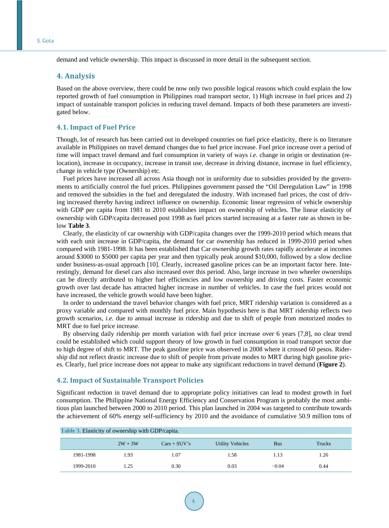demand and vehicle ownership. This impact is discussed in more detail in the subsequent section.

### **4. Analysis**

Based on the above overview, there could be now only two possible logical reasons which could explain the low reported growth of fuel consumption in Philippines road transport sector, 1) High increase in fuel prices and 2) impact of sustainable transport policies in reducing travel demand. Impacts of both these parameters are investigated below.

#### **4.1. Impact of Fuel Price**

Though, lot of research has been carried out in developed countries on fuel price elasticity, there is no literature available in Philippines on travel demand changes due to fuel price increase. Fuel price increase over a period of time will impact travel demand and fuel consumption in variety of ways *i.e.* change in origin or destination (relocation), increase in occupancy, increase in transit use, decrease in driving distance, increase in fuel efficiency, change in vehicle type (Ownership) etc.

Fuel prices have increased all across Asia though not in uniformity due to subsidies provided by the governments to artificially control the fuel prices. Philippines government passed the "Oil Deregulation Law" in 1998 and removed the subsidies in the fuel and deregulated the industry. With increased fuel prices, the cost of driving increased thereby having indirect influence on ownership. Economic linear regression of vehicle ownership with GDP per capita from 1981 to 2010 establishes impact on ownership of vehicles. The linear elasticity of ownership with GDP/capita decreased post 1998 as fuel prices started increasing at a faster rate as shown in below **Table 3**.

Clearly, the elasticity of car ownership with GDP/capita changes over the 1999-2010 period which means that with each unit increase in GDP/capita, the demand for car ownership has reduced in 1999-2010 period when compared with 1981-1998. It has been established that Car ownership growth rates rapidly accelerate at incomes around \$3000 to \$5000 per capita per year and then typically peak around \$10,000, followed by a slow decline under business-as-usual approach [10]. Clearly, increased gasoline prices can be an important factor here. Interestingly, demand for diesel cars also increased over this period. Also, large increase in two wheeler ownerships can be directly attributed to higher fuel efficiencies and low ownership and driving costs. Faster economic growth over last decade has attracted higher increase in number of vehicles. In case the fuel prices would not have increased, the vehicle growth would have been higher.

In order to understand the travel behavior changes with fuel price, MRT ridership variation is considered as a proxy variable and compared with monthly fuel price. Main hypothesis here is that MRT ridership reflects two growth scenarios, *i.e.* due to annual increase in ridership and due to shift of people from motorized modes to MRT due to fuel price increase.

By observing daily ridership per month variation with fuel price increase over 6 years [7,8], no clear trend could be established which could support theory of low growth in fuel consumption in road transport sector due to high degree of shift to MRT. The peak gasoline price was observed in 2008 where it crossed 60 pesos. Ridership did not reflect drastic increase due to shift of people from private modes to MRT during high gasoline prices. Clearly, fuel price increase does not appear to make any significant reductions in travel demand (**Figure 2**).

#### **4.2. Impact of Sustainable Transport Policies**

Significant reduction in travel demand due to appropriate policy initiatives can lead to modest growth in fuel consumption. The Philippine National Energy Efficiency and Conservation Program is probably the most ambitious plan launched between 2000 to 2010 period. This plan launched in 2004 was targeted to contribute towards the achievement of 60% energy self-sufficiency by 2010 and the avoidance of cumulative 50.9 million tons of

| <b>Table 3. Elasticity of ownership with GDP/capita.</b> |           |                |                  |            |        |
|----------------------------------------------------------|-----------|----------------|------------------|------------|--------|
|                                                          | $2W + 3W$ | $Cars + SUV's$ | Utility Vehicles | <b>Bus</b> | Trucks |
| 1981-1998                                                | 1.93      | 1.07           | 1.58             | 1.13       | 1.26   |
| 1999-2010                                                | 1.25      | 0.30           | 0.03             | $-0.04$    | 0.44   |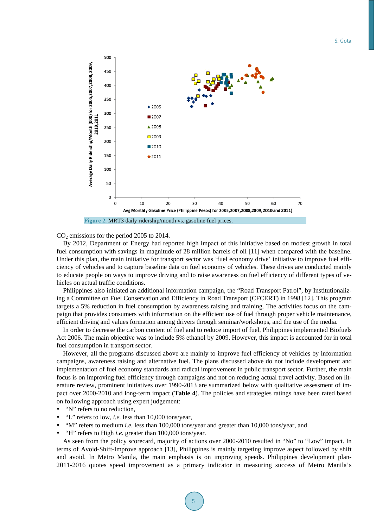

#### $CO<sub>2</sub>$  emissions for the period 2005 to 2014.

By 2012, Department of Energy had reported high impact of this initiative based on modest growth in total fuel consumption with savings in magnitude of 28 million barrels of oil [11] when compared with the baseline. Under this plan, the main initiative for transport sector was 'fuel economy drive' initiative to improve fuel efficiency of vehicles and to capture baseline data on fuel economy of vehicles. These drives are conducted mainly to educate people on ways to improve driving and to raise awareness on fuel efficiency of different types of vehicles on actual traffic conditions.

Philippines also initiated an additional information campaign, the "Road Transport Patrol", by Institutionalizing a Committee on Fuel Conservation and Efficiency in Road Transport (CFCERT) in 1998 [12]. This program targets a 5% reduction in fuel consumption by awareness raising and training. The activities focus on the campaign that provides consumers with information on the efficient use of fuel through proper vehicle maintenance, efficient driving and values formation among drivers through seminar/workshops, and the use of the media.

In order to decrease the carbon content of fuel and to reduce import of fuel, Philippines implemented Biofuels Act 2006. The main objective was to include 5% ethanol by 2009. However, this impact is accounted for in total fuel consumption in transport sector.

However, all the programs discussed above are mainly to improve fuel efficiency of vehicles by information campaigns, awareness raising and alternative fuel. The plans discussed above do not include development and implementation of fuel economy standards and radical improvement in public transport sector. Further, the main focus is on improving fuel efficiency through campaigns and not on reducing actual travel activity. Based on literature review, prominent initiatives over 1990-2013 are summarized below with qualitative assessment of impact over 2000-2010 and long-term impact (**Table 4**). The policies and strategies ratings have been rated based on following approach using expert judgement:

- "N" refers to no reduction,
- "L" refers to low, *i.e.* less than 10,000 tons/year,
- "M" refers to medium *i.e.* less than 100,000 tons/year and greater than 10,000 tons/year, and
- "H" refers to High *i.e*. greater than 100,000 tons/year.

As seen from the policy scorecard, majority of actions over 2000-2010 resulted in "No" to "Low" impact. In terms of Avoid-Shift-Improve approach [13], Philippines is mainly targeting improve aspect followed by shift and avoid. In Metro Manila, the main emphasis is on improving speeds. Philippines development plan-2011-2016 quotes speed improvement as a primary indicator in measuring success of Metro Manila's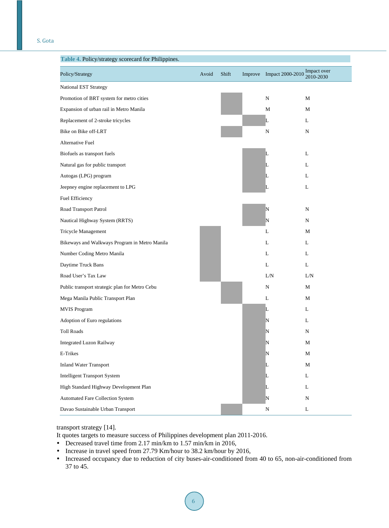| Policy/Strategy                                | Avoid | Shift | Improve Impact 2000-2010 Impact over | 2010-2030   |
|------------------------------------------------|-------|-------|--------------------------------------|-------------|
| <b>National EST Strategy</b>                   |       |       |                                      |             |
| Promotion of BRT system for metro cities       |       |       | N                                    | M           |
| Expansion of urban rail in Metro Manila        |       |       | М                                    | M           |
| Replacement of 2-stroke tricycles              |       |       | L                                    | L           |
| Bike on Bike off-LRT                           |       |       | N                                    | N           |
| Alternative Fuel                               |       |       |                                      |             |
| Biofuels as transport fuels                    |       |       | L                                    | L           |
| Natural gas for public transport               |       |       | L                                    | L           |
| Autogas (LPG) program                          |       |       | L                                    | L           |
| Jeepney engine replacement to LPG              |       |       | L                                    | L           |
| Fuel Efficiency                                |       |       |                                      |             |
| Road Transport Patrol                          |       |       | N                                    | N           |
| Nautical Highway System (RRTS)                 |       |       | N                                    | N           |
| Tricycle Management                            |       |       | L                                    | М           |
| Bikeways and Walkways Program in Metro Manila  |       |       | L                                    | L           |
| Number Coding Metro Manila                     |       |       | L                                    | L           |
| Daytime Truck Bans                             |       |       | L                                    | L           |
| Road User's Tax Law                            |       |       | L/N                                  | L/N         |
| Public transport strategic plan for Metro Cebu |       |       | N                                    | М           |
| Mega Manila Public Transport Plan              |       |       | L                                    | M           |
| <b>MVIS Program</b>                            |       |       | L                                    | L           |
| Adoption of Euro regulations                   |       |       | N                                    | L           |
| <b>Toll Roads</b>                              |       |       | N                                    | N           |
| Integrated Luzon Railway                       |       |       | N                                    | М           |
| E-Trikes                                       |       |       | N                                    | $\mathbf M$ |
| <b>Inland Water Transport</b>                  |       |       | L                                    | $\mathbf M$ |
| <b>Intelligent Transport System</b>            |       |       | L                                    | L           |
| High Standard Highway Development Plan         |       |       | L                                    | L           |
| Automated Fare Collection System               |       |       | N                                    | ${\bf N}$   |
| Davao Sustainable Urban Transport              |       |       | ${\bf N}$                            | $\mathbf L$ |

## transport strategy [14].

It quotes targets to measure success of Philippines development plan 2011-2016.

- Decreased travel time from 2.17 min/km to 1.57 min/km in 2016,
- Increase in travel speed from 27.79 Km/hour to 38.2 km/hour by 2016,
- Increased occupancy due to reduction of city buses-air-conditioned from 40 to 65, non-air-conditioned from 37 to 45.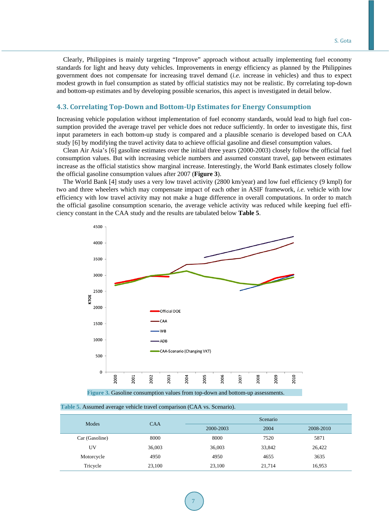Clearly, Philippines is mainly targeting "Improve" approach without actually implementing fuel economy standards for light and heavy duty vehicles. Improvements in energy efficiency as planned by the Philippines government does not compensate for increasing travel demand (*i.e.* increase in vehicles) and thus to expect modest growth in fuel consumption as stated by official statistics may not be realistic. By correlating top-down and bottom-up estimates and by developing possible scenarios, this aspect is investigated in detail below.

## **4.3. Correlating Top-Down and Bottom-Up Estimates for Energy Consumption**

Increasing vehicle population without implementation of fuel economy standards, would lead to high fuel consumption provided the average travel per vehicle does not reduce sufficiently. In order to investigate this, first input parameters in each bottom-up study is compared and a plausible scenario is developed based on CAA study [6] by modifying the travel activity data to achieve official gasoline and diesel consumption values.

Clean Air Asia's [6] gasoline estimates over the initial three years (2000-2003) closely follow the official fuel consumption values. But with increasing vehicle numbers and assumed constant travel, gap between estimates increase as the official statistics show marginal increase. Interestingly, the World Bank estimates closely follow the official gasoline consumption values after 2007 (**Figure 3**).

The World Bank [4] study uses a very low travel activity (2800 km/year) and low fuel efficiency (9 kmpl) for two and three wheelers which may compensate impact of each other in ASIF framework, *i.e.* vehicle with low efficiency with low travel activity may not make a huge difference in overall computations. In order to match the official gasoline consumption scenario, the average vehicle activity was reduced while keeping fuel efficiency constant in the CAA study and the results are tabulated below **Table 5**.



 **Figure 3.** Gasoline consumption values from top-down and bottom-up assessments.

| Modes          | <b>CAA</b> | Scenario  |        |           |  |  |
|----------------|------------|-----------|--------|-----------|--|--|
|                |            | 2000-2003 | 2004   | 2008-2010 |  |  |
| Car (Gasoline) | 8000       | 8000      | 7520   | 5871      |  |  |
| UV             | 36,003     | 36,003    | 33,842 | 26,422    |  |  |
| Motorcycle     | 4950       | 4950      | 4655   | 3635      |  |  |
| Tricycle       | 23,100     | 23,100    | 21,714 | 16,953    |  |  |

 **Table 5.** Assumed average vehicle travel comparison (CAA vs. Scenario).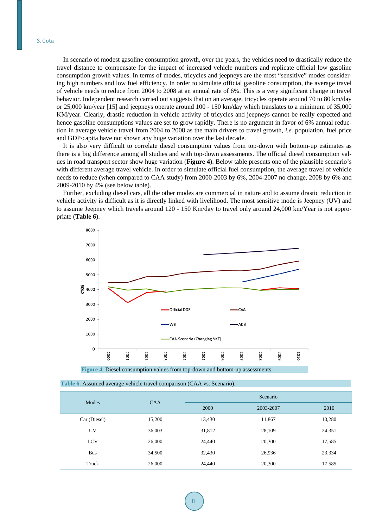In scenario of modest gasoline consumption growth, over the years, the vehicles need to drastically reduce the travel distance to compensate for the impact of increased vehicle numbers and replicate official low gasoline consumption growth values. In terms of modes, tricycles and jeepneys are the most "sensitive" modes considering high numbers and low fuel efficiency. In order to simulate official gasoline consumption, the average travel of vehicle needs to reduce from 2004 to 2008 at an annual rate of 6%. This is a very significant change in travel behavior. Independent research carried out suggests that on an average, tricycles operate around 70 to 80 km/day or 25,000 km/year [15] and jeepneys operate around 100 - 150 km/day which translates to a minimum of 35,000 KM/year. Clearly, drastic reduction in vehicle activity of tricycles and jeepneys cannot be really expected and hence gasoline consumptions values are set to grow rapidly. There is no argument in favor of 6% annual reduction in average vehicle travel from 2004 to 2008 as the main drivers to travel growth, *i.e.* population, fuel price and GDP/capita have not shown any huge variation over the last decade.

It is also very difficult to correlate diesel consumption values from top-down with bottom-up estimates as there is a big difference among all studies and with top-down assessments. The official diesel consumption values in road transport sector show huge variation (**Figure 4**). Below table presents one of the plausible scenario's with different average travel vehicle. In order to simulate official fuel consumption, the average travel of vehicle needs to reduce (when compared to CAA study) from 2000-2003 by 6%, 2004-2007 no change, 2008 by 6% and 2009-2010 by 4% (see below table).

Further, excluding diesel cars, all the other modes are commercial in nature and to assume drastic reduction in vehicle activity is difficult as it is directly linked with livelihood. The most sensitive mode is Jeepney (UV) and to assume Jeepney which travels around 120 - 150 Km/day to travel only around 24,000 km/Year is not appropriate (**Table 6**).



 **Figure 4.** Diesel consumption values from top-down and bottom-up assessments.

| Modes        | <b>CAA</b> |        | Scenario  |        |  |  |  |
|--------------|------------|--------|-----------|--------|--|--|--|
|              |            | 2000   | 2003-2007 | 2010   |  |  |  |
| Car (Diesel) | 15,200     | 13,430 | 11,867    | 10,280 |  |  |  |
| UV           | 36,003     | 31,812 | 28,109    | 24,351 |  |  |  |
| LCV          | 26,000     | 24,440 | 20,300    | 17,585 |  |  |  |
| <b>Bus</b>   | 34,500     | 32,430 | 26,936    | 23,334 |  |  |  |
| Truck        | 26,000     | 24,440 | 20,300    | 17,585 |  |  |  |

|  |  | Table 6. Assumed average vehicle travel comparison (CAA vs. Scenario). |
|--|--|------------------------------------------------------------------------|
|--|--|------------------------------------------------------------------------|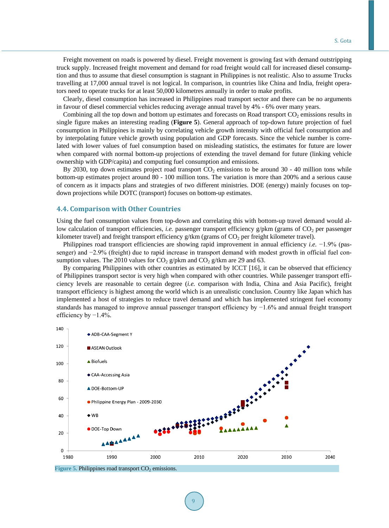Freight movement on roads is powered by diesel. Freight movement is growing fast with demand outstripping truck supply. Increased freight movement and demand for road freight would call for increased diesel consumption and thus to assume that diesel consumption is stagnant in Philippines is not realistic. Also to assume Trucks travelling at 17,000 annual travel is not logical. In comparison, in countries like China and India, freight operators need to operate trucks for at least 50,000 kilometres annually in order to make profits.

Clearly, diesel consumption has increased in Philippines road transport sector and there can be no arguments in favour of diesel commercial vehicles reducing average annual travel by 4% - 6% over many years.

Combining all the top down and bottom up estimates and forecasts on Road transport  $CO<sub>2</sub>$  emissions results in single figure makes an interesting reading (**Figure 5**). General approach of top-down future projection of fuel consumption in Philippines is mainly by correlating vehicle growth intensity with official fuel consumption and by interpolating future vehicle growth using population and GDP forecasts. Since the vehicle number is correlated with lower values of fuel consumption based on misleading statistics, the estimates for future are lower when compared with normal bottom-up projections of extending the travel demand for future (linking vehicle ownership with GDP/capita) and computing fuel consumption and emissions.

By 2030, top down estimates project road transport  $CO_2$  emissions to be around 30 - 40 million tons while bottom-up estimates project around 80 - 100 million tons. The variation is more than 200% and a serious cause of concern as it impacts plans and strategies of two different ministries. DOE (energy) mainly focuses on topdown projections while DOTC (transport) focuses on bottom-up estimates.

#### **4.4. Comparison with Other Countries**

Using the fuel consumption values from top-down and correlating this with bottom-up travel demand would allow calculation of transport efficiencies, *i.e.* passenger transport efficiency g/pkm (grams of CO<sub>2</sub> per passenger kilometer travel) and freight transport efficiency  $g/km$  (grams of  $CO<sub>2</sub>$  per freight kilometer travel).

Philippines road transport efficiencies are showing rapid improvement in annual efficiency *i.e.* −1.9% (passenger) and −2.9% (freight) due to rapid increase in transport demand with modest growth in official fuel consumption values. The 2010 values for  $CO_2$  g/pkm and  $CO_2$  g/tkm are 29 and 63.

By comparing Philippines with other countries as estimated by ICCT [16], it can be observed that efficiency of Philippines transport sector is very high when compared with other countries. While passenger transport efficiency levels are reasonable to certain degree (*i.e.* comparison with India, China and Asia Pacific), freight transport efficiency is highest among the world which is an unrealistic conclusion. Country like Japan which has implemented a host of strategies to reduce travel demand and which has implemented stringent fuel economy standards has managed to improve annual passenger transport efficiency by −1.6% and annual freight transport efficiency by  $-1.4\%$ .



**Figure 5. Philippines road transport**  $CO<sub>2</sub>$  **emissions.**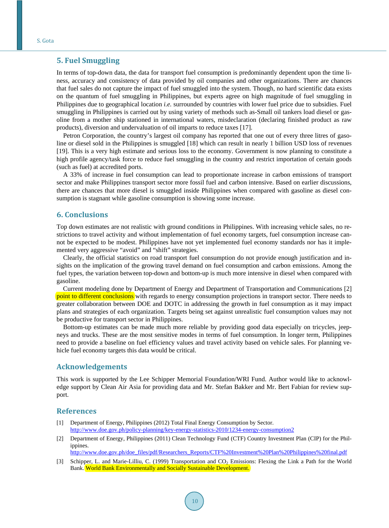# **5. Fuel Smuggling**

In terms of top-down data, the data for transport fuel consumption is predominantly dependent upon the time liness, accuracy and consistency of data provided by oil companies and other organizations. There are chances that fuel sales do not capture the impact of fuel smuggled into the system. Though, no hard scientific data exists on the quantum of fuel smuggling in Philippines, but experts agree on high magnitude of fuel smuggling in Philippines due to geographical location *i.e.* surrounded by countries with lower fuel price due to subsidies. Fuel smuggling in Philippines is carried out by using variety of methods such as-Small oil tankers load diesel or gasoline from a mother ship stationed in international waters, misdeclaration (declaring finished product as raw products), diversion and undervaluation of oil imparts to reduce taxes [17].

Petron Corporation, the country's largest oil company has reported that one out of every three litres of gasoline or diesel sold in the Philippines is smuggled [18] which can result in nearly 1 billion USD loss of revenues [19]. This is a very high estimate and serious loss to the economy. Government is now planning to constitute a high profile agency/task force to reduce fuel smuggling in the country and restrict importation of certain goods (such as fuel) at accredited ports.

A 33% of increase in fuel consumption can lead to proportionate increase in carbon emissions of transport sector and make Philippines transport sector more fossil fuel and carbon intensive. Based on earlier discussions, there are chances that more diesel is smuggled inside Philippines when compared with gasoline as diesel consumption is stagnant while gasoline consumption is showing some increase.

## **6. Conclusions**

Top down estimates are not realistic with ground conditions in Philippines. With increasing vehicle sales, no restrictions to travel activity and without implementation of fuel economy targets, fuel consumption increase cannot be expected to be modest. Philippines have not yet implemented fuel economy standards nor has it implemented very aggressive "avoid" and "shift" strategies.

Clearly, the official statistics on road transport fuel consumption do not provide enough justification and insights on the implication of the growing travel demand on fuel consumption and carbon emissions. Among the fuel types, the variation between top-down and bottom-up is much more intensive in diesel when compared with gasoline.

Current modeling done by Department of Energy and Department of Transportation and Communications [2] point to different conclusions with regards to energy consumption projections in transport sector. There needs to greater collaboration between DOE and DOTC in addressing the growth in fuel consumption as it may impact plans and strategies of each organization. Targets being set against unrealistic fuel consumption values may not be productive for transport sector in Philippines.

Bottom-up estimates can be made much more reliable by providing good data especially on tricycles, jeepneys and trucks. These are the most sensitive modes in terms of fuel consumption. In longer term, Philippines need to provide a baseline on fuel efficiency values and travel activity based on vehicle sales. For planning vehicle fuel economy targets this data would be critical.

## **Acknowledgements**

This work is supported by the Lee Schipper Memorial Foundation/WRI Fund. Author would like to acknowledge support by Clean Air Asia for providing data and Mr. Stefan Bakker and Mr. Bert Fabian for review support.

#### **References**

- [1] Department of Energy, Philippines (2012) Total Final Energy Consumption by Sector. <http://www.doe.gov.ph/policy-planning/key-energy-statistics-2010/1234-energy-consumption2>
- [2] Department of Energy, Philippines (2011) Clean Technology Fund (CTF) Country Investment Plan (CIP) for the Philippines.

[http://www.doe.gov.ph/doe\\_files/pdf/Researchers\\_Reports/CTF%20Investment%20Plan%20Philippines%20final.pdf](http://www.doe.gov.ph/doe_files/pdf/Researchers_Reports/CTF%20Investment%20Plan%20Philippines%20final.pdf)

[3] Schipper, L. and Marie-Lilliu, C. (1999) Transportation and CO<sub>2</sub> Emissions: Flexing the Link a Path for the World Bank. World Bank Environmentally and Socially Sustainable Development.